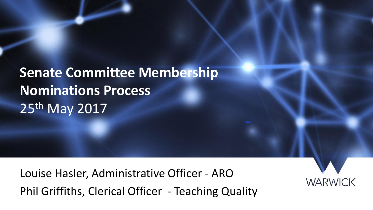**Senate Committee Membership Nominations Process** 25<sup>th</sup> May 2017

Louise Hasler, Administrative Officer - ARO Phil Griffiths, Clerical Officer - Teaching Quality

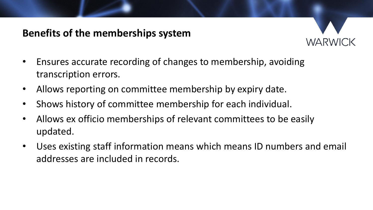## **Benefits of the memberships system**



- Ensures accurate recording of changes to membership, avoiding transcription errors.
- Allows reporting on committee membership by expiry date.
- Shows history of committee membership for each individual.
- Allows ex officio memberships of relevant committees to be easily updated.
- Uses existing staff information means which means ID numbers and email addresses are included in records.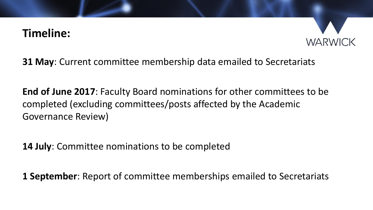## **Timeline:**



**31 May**: Current committee membership data emailed to Secretariats

**End of June 2017**: Faculty Board nominations for other committees to be completed (excluding committees/posts affected by the Academic Governance Review)

**14 July**: Committee nominations to be completed

**1 September**: Report of committee memberships emailed to Secretariats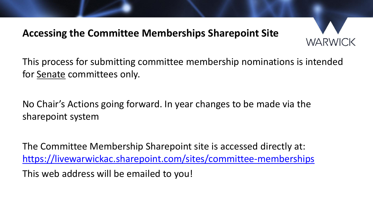## **Accessing the Committee Memberships Sharepoint Site**



This process for submitting committee membership nominations is intended for Senate committees only.

No Chair's Actions going forward. In year changes to be made via the sharepoint system

The Committee Membership Sharepoint site is accessed directly at: <https://livewarwickac.sharepoint.com/sites/committee-memberships> This web address will be emailed to you!